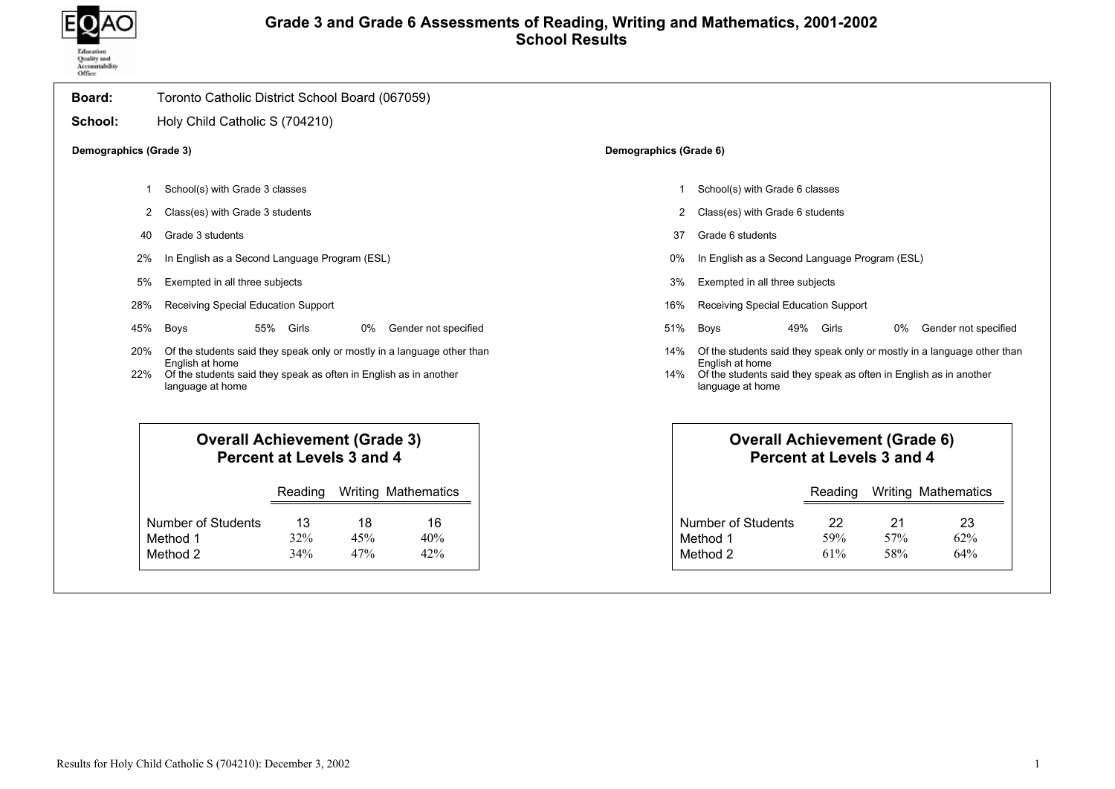

## Grade 3 and Grade 6 Assessments of Reading, Writing and Mathematics, 2001-2002 School Results

| Board:                 | Toronto Catholic District School Board (067059)                                                                                                                                     |                  |                            |                      |                        |                                                                                                          |                           |                  |                                                                         |
|------------------------|-------------------------------------------------------------------------------------------------------------------------------------------------------------------------------------|------------------|----------------------------|----------------------|------------------------|----------------------------------------------------------------------------------------------------------|---------------------------|------------------|-------------------------------------------------------------------------|
| School:                | Holy Child Catholic S (704210)                                                                                                                                                      |                  |                            |                      |                        |                                                                                                          |                           |                  |                                                                         |
| Demographics (Grade 3) |                                                                                                                                                                                     |                  |                            |                      | Demographics (Grade 6) |                                                                                                          |                           |                  |                                                                         |
| -1                     | School(s) with Grade 3 classes                                                                                                                                                      |                  |                            |                      |                        | School(s) with Grade 6 classes                                                                           |                           |                  |                                                                         |
| 2                      | Class(es) with Grade 3 students                                                                                                                                                     |                  |                            |                      | 2                      | Class(es) with Grade 6 students                                                                          |                           |                  |                                                                         |
| 40                     | Grade 3 students                                                                                                                                                                    |                  |                            |                      | 37                     | Grade 6 students                                                                                         |                           |                  |                                                                         |
| 2%                     | In English as a Second Language Program (ESL)                                                                                                                                       |                  |                            |                      | 0%                     | In English as a Second Language Program (ESL)                                                            |                           |                  |                                                                         |
| 5%                     | Exempted in all three subjects                                                                                                                                                      |                  |                            |                      | 3%                     | Exempted in all three subjects                                                                           |                           |                  |                                                                         |
| 28%                    | Receiving Special Education Support                                                                                                                                                 |                  |                            |                      | 16%                    | Receiving Special Education Support                                                                      |                           |                  |                                                                         |
| 45%                    | Boys                                                                                                                                                                                | 55% Girls        | $0\%$                      | Gender not specified | 51%                    | 49%<br><b>Boys</b>                                                                                       | Girls                     | 0%               | Gender not specified                                                    |
| 20%<br>22%             | Of the students said they speak only or mostly in a language other than<br>English at home<br>Of the students said they speak as often in English as in another<br>language at home |                  |                            |                      | 14%<br>14%             | English at home<br>Of the students said they speak as often in English as in another<br>language at home |                           |                  | Of the students said they speak only or mostly in a language other than |
|                        | <b>Overall Achievement (Grade 3)</b><br>Percent at Levels 3 and 4                                                                                                                   |                  |                            |                      |                        | <b>Overall Achievement (Grade 6)</b>                                                                     | Percent at Levels 3 and 4 |                  |                                                                         |
|                        |                                                                                                                                                                                     | Reading          | <b>Writing Mathematics</b> |                      |                        |                                                                                                          | Reading                   |                  | <b>Writing Mathematics</b>                                              |
|                        | Number of Students<br>Method 1<br>Method 2                                                                                                                                          | 13<br>32%<br>34% | 18<br>45%<br>47%           | 16<br>40%<br>42%     |                        | <b>Number of Students</b><br>Method 1<br>Method 2                                                        | 22<br>59%<br>61%          | 21<br>57%<br>58% | 23<br>62%<br>64%                                                        |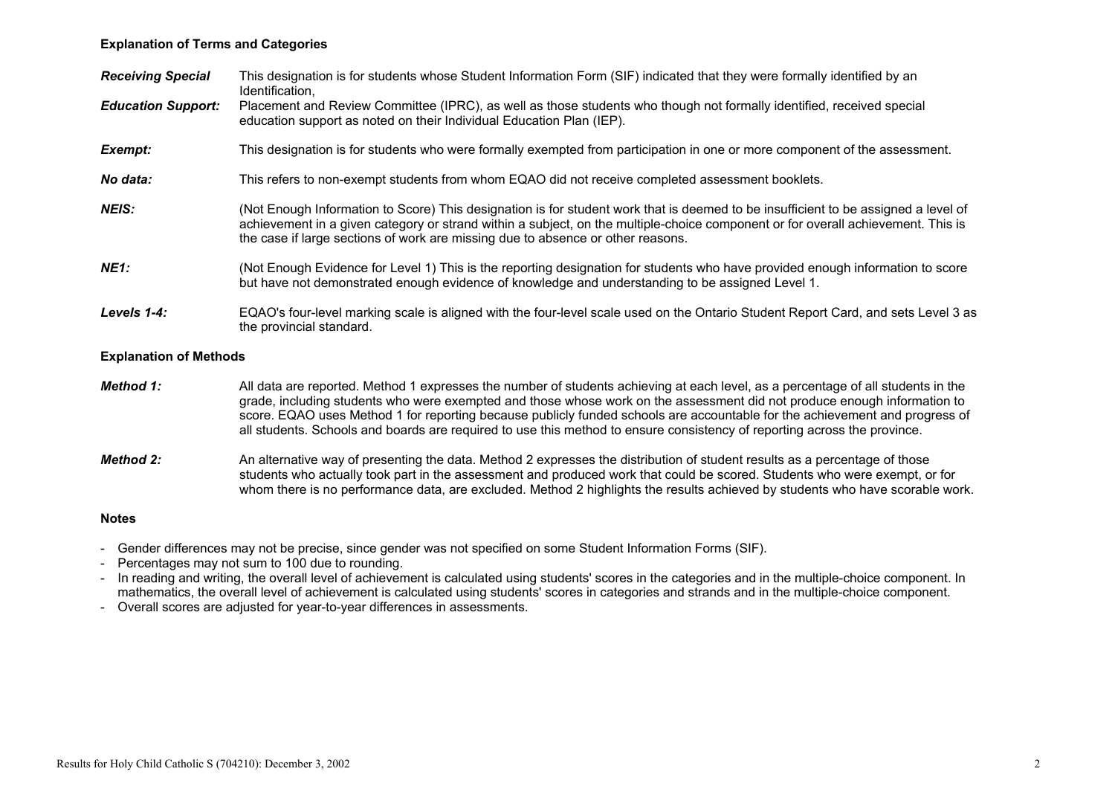## Explanation of Terms and Categories

| <b>Receiving Special</b>      | This designation is for students whose Student Information Form (SIF) indicated that they were formally identified by an<br>Identification,                                                                                                                                                                                                                                                                                                                                                                             |
|-------------------------------|-------------------------------------------------------------------------------------------------------------------------------------------------------------------------------------------------------------------------------------------------------------------------------------------------------------------------------------------------------------------------------------------------------------------------------------------------------------------------------------------------------------------------|
| <b>Education Support:</b>     | Placement and Review Committee (IPRC), as well as those students who though not formally identified, received special<br>education support as noted on their Individual Education Plan (IEP).                                                                                                                                                                                                                                                                                                                           |
| Exempt:                       | This designation is for students who were formally exempted from participation in one or more component of the assessment.                                                                                                                                                                                                                                                                                                                                                                                              |
| No data:                      | This refers to non-exempt students from whom EQAO did not receive completed assessment booklets.                                                                                                                                                                                                                                                                                                                                                                                                                        |
| <b>NEIS:</b>                  | (Not Enough Information to Score) This designation is for student work that is deemed to be insufficient to be assigned a level of<br>achievement in a given category or strand within a subject, on the multiple-choice component or for overall achievement. This is<br>the case if large sections of work are missing due to absence or other reasons.                                                                                                                                                               |
| <b>NE1:</b>                   | (Not Enough Evidence for Level 1) This is the reporting designation for students who have provided enough information to score<br>but have not demonstrated enough evidence of knowledge and understanding to be assigned Level 1.                                                                                                                                                                                                                                                                                      |
| Levels 1-4:                   | EQAO's four-level marking scale is aligned with the four-level scale used on the Ontario Student Report Card, and sets Level 3 as<br>the provincial standard.                                                                                                                                                                                                                                                                                                                                                           |
| <b>Explanation of Methods</b> |                                                                                                                                                                                                                                                                                                                                                                                                                                                                                                                         |
| Method 1:                     | All data are reported. Method 1 expresses the number of students achieving at each level, as a percentage of all students in the<br>grade, including students who were exempted and those whose work on the assessment did not produce enough information to<br>score. EQAO uses Method 1 for reporting because publicly funded schools are accountable for the achievement and progress of<br>all students. Schools and boards are required to use this method to ensure consistency of reporting across the province. |
| <b>Method 2:</b>              | An alternative way of presenting the data. Method 2 expresses the distribution of student results as a percentage of those<br>students who actually took part in the assessment and produced work that could be scored. Students who were exempt, or for<br>whom there is no performance data, are excluded. Method 2 highlights the results achieved by students who have scorable work.                                                                                                                               |

#### Notes

- Gender differences may not be precise, since gender was not specified on some Student Information Forms (SIF).
- Percentages may not sum to 100 due to rounding.
- In reading and writing, the overall level of achievement is calculated using students' scores in the categories and in the multiple-choice component. In mathematics, the overall level of achievement is calculated using students' scores in categories and strands and in the multiple-choice component.
- Overall scores are adjusted for year-to-year differences in assessments.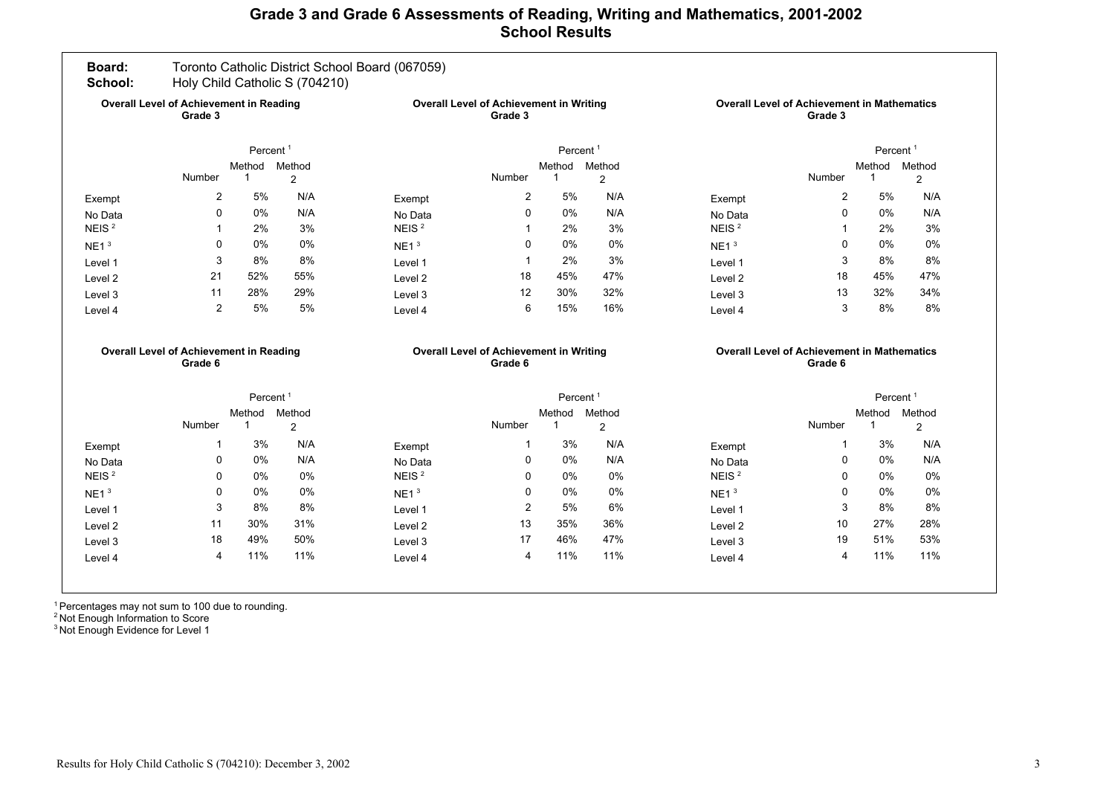## Grade 3 and Grade 6 Assessments of Reading, Writing and Mathematics, 2001-2002 School Results

| Board:<br>School:                                         |                                                           |                       | Holy Child Catholic S (704210)                            | Toronto Catholic District School Board (067059) |                                                           |                                                               |                |                   |                                                               |                               |                |
|-----------------------------------------------------------|-----------------------------------------------------------|-----------------------|-----------------------------------------------------------|-------------------------------------------------|-----------------------------------------------------------|---------------------------------------------------------------|----------------|-------------------|---------------------------------------------------------------|-------------------------------|----------------|
| <b>Overall Level of Achievement in Reading</b><br>Grade 3 |                                                           |                       | <b>Overall Level of Achievement in Writing</b><br>Grade 3 |                                                 |                                                           | <b>Overall Level of Achievement in Mathematics</b><br>Grade 3 |                |                   |                                                               |                               |                |
|                                                           |                                                           | Percent <sup>1</sup>  |                                                           |                                                 |                                                           | Percent <sup>1</sup>                                          |                |                   |                                                               | Percent <sup>1</sup>          |                |
|                                                           | Number                                                    | Method<br>$\mathbf 1$ | Method<br>$\overline{c}$                                  |                                                 | Number                                                    | Method<br>-1                                                  | Method<br>2    |                   | Number                                                        | Method Method<br>$\mathbf{1}$ | $\overline{2}$ |
| Exempt                                                    | $\overline{2}$                                            | 5%                    | N/A                                                       | Exempt                                          | $\overline{2}$                                            | 5%                                                            | N/A            | Exempt            | $\overline{2}$                                                | 5%                            | N/A            |
| No Data                                                   | $\Omega$                                                  | 0%                    | N/A                                                       | No Data                                         | $\Omega$                                                  | 0%                                                            | N/A            | No Data           | 0                                                             | 0%                            | N/A            |
| NEIS <sup>2</sup>                                         | $\mathbf{1}$                                              | 2%                    | 3%                                                        | NEIS <sup>2</sup>                               | $\mathbf 1$                                               | 2%                                                            | 3%             | NEIS <sup>2</sup> | 1                                                             | 2%                            | 3%             |
| NE1 <sup>3</sup>                                          | 0                                                         | 0%                    | $0\%$                                                     | NE1 <sup>3</sup>                                | $\Omega$                                                  | 0%                                                            | 0%             | NE1 <sup>3</sup>  | $\Omega$                                                      | 0%                            | 0%             |
| Level 1                                                   | 3                                                         | 8%                    | 8%                                                        | Level 1                                         | $\overline{1}$                                            | 2%                                                            | 3%             | Level 1           | 3                                                             | 8%                            | 8%             |
| Level 2                                                   | 21                                                        | 52%                   | 55%                                                       | Level <sub>2</sub>                              | 18                                                        | 45%                                                           | 47%            | Level 2           | 18                                                            | 45%                           | 47%            |
| Level 3                                                   | 11                                                        | 28%                   | 29%                                                       | Level 3                                         | 12                                                        | 30%                                                           | 32%            | Level 3           | 13                                                            | 32%                           | 34%            |
| Level 4                                                   | $\overline{2}$                                            | 5%                    | 5%                                                        | Level 4                                         | 6                                                         | 15%                                                           | 16%            | Level 4           | 3                                                             | 8%                            | 8%             |
|                                                           | <b>Overall Level of Achievement in Reading</b><br>Grade 6 |                       |                                                           |                                                 | <b>Overall Level of Achievement in Writing</b><br>Grade 6 |                                                               |                |                   | <b>Overall Level of Achievement in Mathematics</b><br>Grade 6 |                               |                |
|                                                           |                                                           | Percent <sup>1</sup>  |                                                           |                                                 |                                                           | Percent <sup>1</sup>                                          |                |                   |                                                               | Percent <sup>1</sup>          |                |
|                                                           |                                                           |                       |                                                           |                                                 |                                                           |                                                               | Method         |                   |                                                               | Method Method                 |                |
|                                                           |                                                           | Method                | Method                                                    |                                                 |                                                           | Method                                                        |                |                   |                                                               |                               |                |
|                                                           | Number                                                    | $\mathbf 1$           | $\overline{2}$                                            |                                                 | Number                                                    | -1                                                            | $\overline{2}$ |                   | Number                                                        | $\mathbf 1$                   | $\overline{2}$ |
| Exempt                                                    | 1                                                         | 3%                    | N/A                                                       | Exempt                                          | -1                                                        | 3%                                                            | N/A            | Exempt            | 1                                                             | 3%                            |                |
| No Data                                                   | 0                                                         | $0\%$                 | N/A                                                       | No Data                                         | 0                                                         | $0\%$                                                         | N/A            | No Data           | 0                                                             | $0\%$                         | N/A<br>N/A     |
| NEIS <sup>2</sup>                                         | $\Omega$                                                  | 0%                    | $0\%$                                                     | NEIS <sup>2</sup>                               | $\Omega$                                                  | 0%                                                            | 0%             | NEIS <sup>2</sup> | $\Omega$                                                      | 0%                            | 0%             |
| NE1 <sup>3</sup>                                          | $\Omega$                                                  | 0%                    | 0%                                                        | NE1 <sup>3</sup>                                | $\Omega$                                                  | 0%                                                            | 0%             | NE1 <sup>3</sup>  | $\Omega$                                                      | 0%                            | 0%             |
| Level 1                                                   | 3                                                         | 8%                    | 8%                                                        | Level 1                                         | $\overline{2}$                                            | 5%                                                            | 6%             | Level 1           | 3                                                             | 8%                            | 8%             |
| Level 2                                                   | 11                                                        | 30%                   | 31%                                                       | Level <sub>2</sub>                              | 13                                                        | 35%                                                           | 36%            | Level 2           | 10                                                            | 27%                           | 28%            |
| Level 3                                                   | 18<br>4                                                   | 49%<br>11%            | 50%<br>11%                                                | Level 3                                         | 17<br>$\overline{4}$                                      | 46%<br>11%                                                    | 47%<br>11%     | Level 3           | 19<br>4                                                       | 51%<br>11%                    | 53%<br>11%     |

<sup>1</sup> Percentages may not sum to 100 due to rounding.

<sup>2</sup> Not Enough Information to Score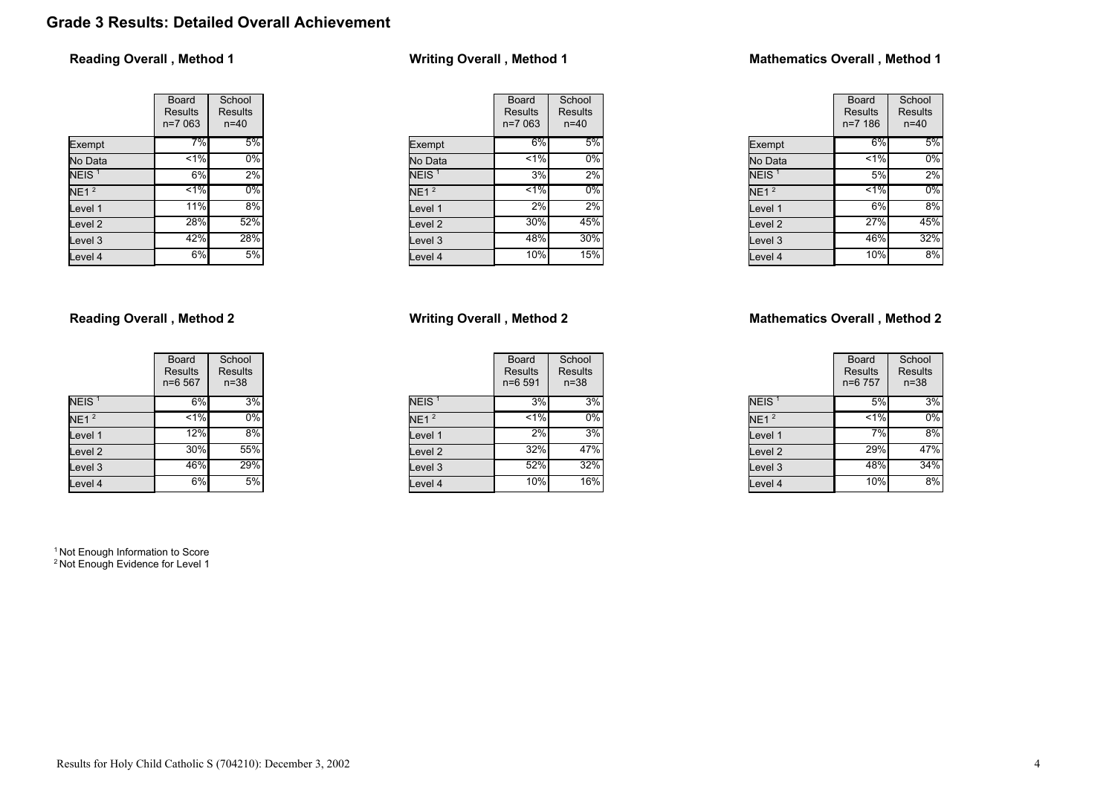# Grade 3 Results: Detailed Overall Achievement

## Reading Overall , Method 1

|                           | Board<br><b>Results</b><br>n=7 063 | School<br>Results<br>$n = 40$ |
|---------------------------|------------------------------------|-------------------------------|
| Exempt                    | 7%                                 | 5%                            |
| No Data                   | 1%                                 | 0%                            |
| NEIS <sup>1</sup>         | 6%                                 | 2%                            |
| $\overline{\text{NE1}}^2$ | $1\%$                              | $0\%$                         |
| Level 1                   | 11%                                | 8%                            |
| Level <sub>2</sub>        | 28%                                | 52%                           |
| Level <sub>3</sub>        | 42%                                | 28%                           |
| Level 4                   | 6%                                 | 5%                            |

## Reading Overall , Method 2

|                    | Board<br>Results<br>$n=6567$ | School<br><b>Results</b><br>$n = 38$ |
|--------------------|------------------------------|--------------------------------------|
| NEIS <sup>1</sup>  | 6%                           | 3%                                   |
| NE1 <sup>2</sup>   | $< 1\%$                      | $0\%$                                |
| Level 1            | 12%                          | 8%                                   |
| Level <sub>2</sub> | 30%                          | 55%                                  |
| Level <sub>3</sub> | 46%                          | 29%                                  |
| Level 4            | 6%                           | 5%                                   |

<sup>1</sup> Not Enough Information to Score <sup>2</sup> Not Enough Evidence for Level 1

# Writing Overall , Method 1

|                   | Board                     | School              |
|-------------------|---------------------------|---------------------|
|                   | <b>Results</b><br>n=7 063 | Results<br>$n = 40$ |
| Exempt            | 6%                        | 5%                  |
| No Data           | 1%                        | $0\%$               |
| NEIS <sup>1</sup> | 3%                        | 2%                  |
| NE1 <sup>2</sup>  | $1\%$                     | 0%                  |
| Level 1           | 2%                        | 2%                  |
| Level 2           | 30%                       | 45%                 |
| Level 3           | 48%                       | 30%                 |
| Level 4           | 10%                       | 15%                 |

## Writing Overall , Method 2

|                   | <b>Board</b><br><b>Results</b><br>$n = 6591$ | School<br><b>Results</b><br>$n = 38$ |
|-------------------|----------------------------------------------|--------------------------------------|
| NEIS <sup>1</sup> | 3%                                           | 3%                                   |
| NE1 <sup>2</sup>  | $1\%$                                        | 0%                                   |
| Level 1           | 2%                                           | 3%                                   |
| Level 2           | 32%                                          | 47%                                  |
| Level 3           | 52%                                          | 32%                                  |
| Level 4           | 10%                                          | 16%                                  |

## Mathematics Overall , Method 1

|                   | Board<br>Results<br>$n = 7186$ | School<br>Results<br>$n = 40$ |  |  |
|-------------------|--------------------------------|-------------------------------|--|--|
| Exempt            | 6%                             | 5%                            |  |  |
| No Data           | 1%                             | 0%                            |  |  |
| NEIS <sup>1</sup> | 5%                             | 2%                            |  |  |
| NE1 <sup>2</sup>  | $1\%$                          | 0%                            |  |  |
| Level 1           | 6%                             | 8%                            |  |  |
| Level 2           | 27%                            | 45%                           |  |  |
| Level 3           | 46%                            | 32%                           |  |  |
| Level 4           | 10%                            | 8%                            |  |  |

## Mathematics Overall , Method 2

|                   | Board<br><b>Results</b><br>n=6 757 | School<br><b>Results</b><br>$n = 38$ |
|-------------------|------------------------------------|--------------------------------------|
| NEIS <sup>1</sup> | 5%                                 | 3%                                   |
| NE1 <sup>2</sup>  | $1\%$                              | 0%                                   |
| Level 1           | 7%                                 | 8%                                   |
| Level 2           | 29%                                | 47%                                  |
| Level 3           | 48%                                | 34%                                  |
| Level 4           | 10%                                | 8%                                   |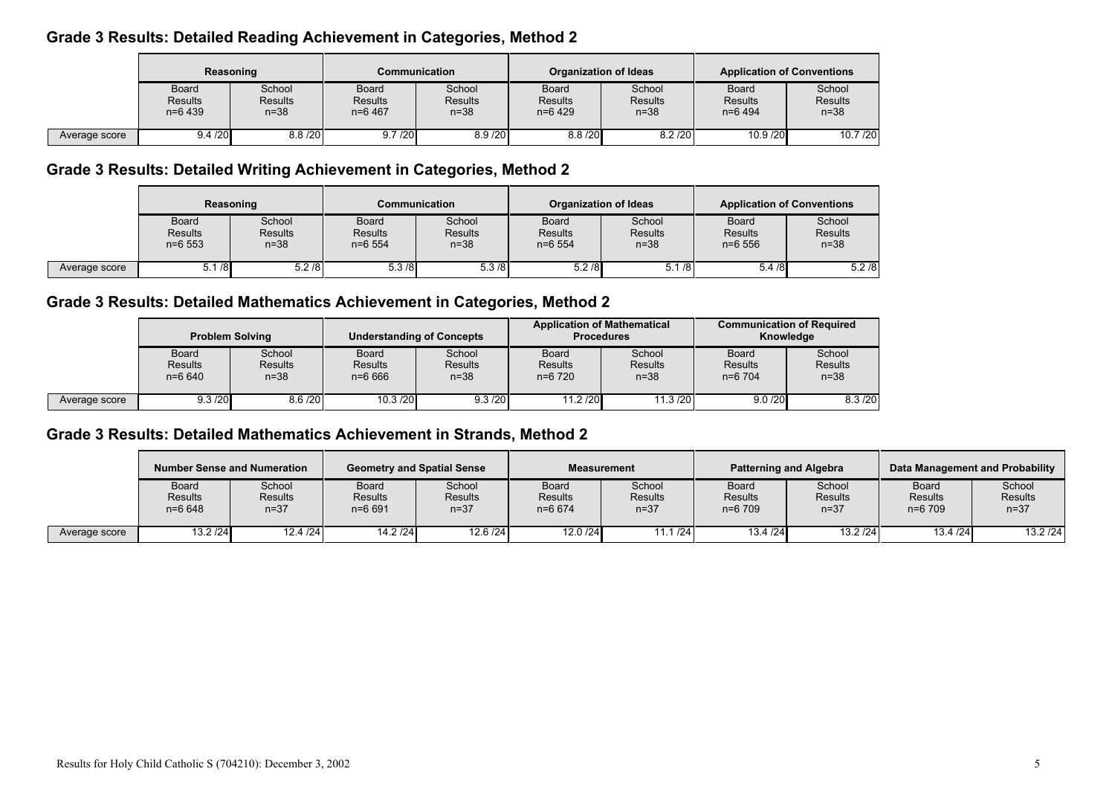# Grade 3 Results: Detailed Reading Achievement in Categories, Method 2

|               | Reasoning                                   |                                      | <b>Communication</b>                        |                               | <b>Organization of Ideas</b>                |                                      | <b>Application of Conventions</b>           |                                    |
|---------------|---------------------------------------------|--------------------------------------|---------------------------------------------|-------------------------------|---------------------------------------------|--------------------------------------|---------------------------------------------|------------------------------------|
|               | <b>Board</b><br><b>Results</b><br>$n=6$ 439 | School<br><b>Results</b><br>$n = 38$ | <b>Board</b><br><b>Results</b><br>$n=6$ 467 | School<br>Results<br>$n = 38$ | <b>Board</b><br><b>Results</b><br>$n=6$ 429 | School<br><b>Results</b><br>$n = 38$ | <b>Board</b><br><b>Results</b><br>$n=6$ 494 | School<br><b>Results</b><br>$n=38$ |
| Average score | 9.4 / 20                                    | 8.8 / 20                             | 9.7 / 20                                    | 8.9 / 20                      | 8.8 / 20                                    | 8.2 / 20                             | 10.9/20                                     | 10.7/20                            |

# Grade 3 Results: Detailed Writing Achievement in Categories, Method 2

|               | Reasoning                             |                                      | Communication                               |                                      | Organization of Ideas                       |                                      | <b>Application of Conventions</b>     |                                      |
|---------------|---------------------------------------|--------------------------------------|---------------------------------------------|--------------------------------------|---------------------------------------------|--------------------------------------|---------------------------------------|--------------------------------------|
|               | Board<br><b>Results</b><br>$n = 6553$ | School<br><b>Results</b><br>$n = 38$ | <b>Board</b><br><b>Results</b><br>$n=6$ 554 | School<br><b>Results</b><br>$n = 38$ | <b>Board</b><br><b>Results</b><br>$n=6$ 554 | School<br><b>Results</b><br>$n = 38$ | Board<br><b>Results</b><br>$n = 6556$ | School<br><b>Results</b><br>$n = 38$ |
| Average score | 5.1/8                                 | 5.2/8                                | 5.3/8                                       | 5.3/8                                | 5.2/8                                       | 5.1/8                                | 5.4/8                                 | 5.2/8                                |

# Grade 3 Results: Detailed Mathematics Achievement in Categories, Method 2

|               | <b>Problem Solving</b>                |                                  | <b>Understanding of Concepts</b>           |                                      | <b>Application of Mathematical</b><br><b>Procedures</b> |                                      | <b>Communication of Required</b><br>Knowledge |                                    |
|---------------|---------------------------------------|----------------------------------|--------------------------------------------|--------------------------------------|---------------------------------------------------------|--------------------------------------|-----------------------------------------------|------------------------------------|
|               | <b>Board</b><br>Results<br>$n = 6640$ | School<br><b>Results</b><br>n=38 | <b>Board</b><br><b>Results</b><br>$n=6666$ | School<br><b>Results</b><br>$n = 38$ | Board<br><b>Results</b><br>$n=6$ 720                    | School<br><b>Results</b><br>$n = 38$ | <b>Board</b><br><b>Results</b><br>$n=6$ 704   | School<br><b>Results</b><br>$n=38$ |
| Average score | 9.3 / 20                              | 8.6 / 20                         | 10.3 / 20                                  | 9.3 / 20                             | 11.2 / 20                                               | 11.3 /20                             | 9.0 / 20                                      | 8.3 / 20                           |

# Grade 3 Results: Detailed Mathematics Achievement in Strands, Method 2

|               | <b>Number Sense and Numeration</b>    |                                      | <b>Geometry and Spatial Sense</b>     |                                      | <b>Measurement</b>                         |                                      | <b>Patterning and Algebra</b>               |                                      | Data Management and Probability           |                                      |
|---------------|---------------------------------------|--------------------------------------|---------------------------------------|--------------------------------------|--------------------------------------------|--------------------------------------|---------------------------------------------|--------------------------------------|-------------------------------------------|--------------------------------------|
|               | Board<br><b>Results</b><br>$n = 6648$ | School<br><b>Results</b><br>$n = 37$ | Board<br><b>Results</b><br>$n = 6691$ | School<br><b>Results</b><br>$n = 37$ | <b>Board</b><br><b>Results</b><br>$n=6674$ | School<br><b>Results</b><br>$n = 37$ | <b>Board</b><br><b>Results</b><br>$n=6$ 709 | School<br><b>Results</b><br>$n = 37$ | <b>Board</b><br><b>Results</b><br>n=6 709 | School<br><b>Results</b><br>$n = 37$ |
| Average score | 13.2 / 24                             | 12.4/24                              | 14.2 / 24                             | 12.6 / 24                            | 12.0 / 24                                  | 1.1/24                               | 13.4/24                                     | 13.2 / 24                            | 13.4 / 24                                 | 13.2 / 24                            |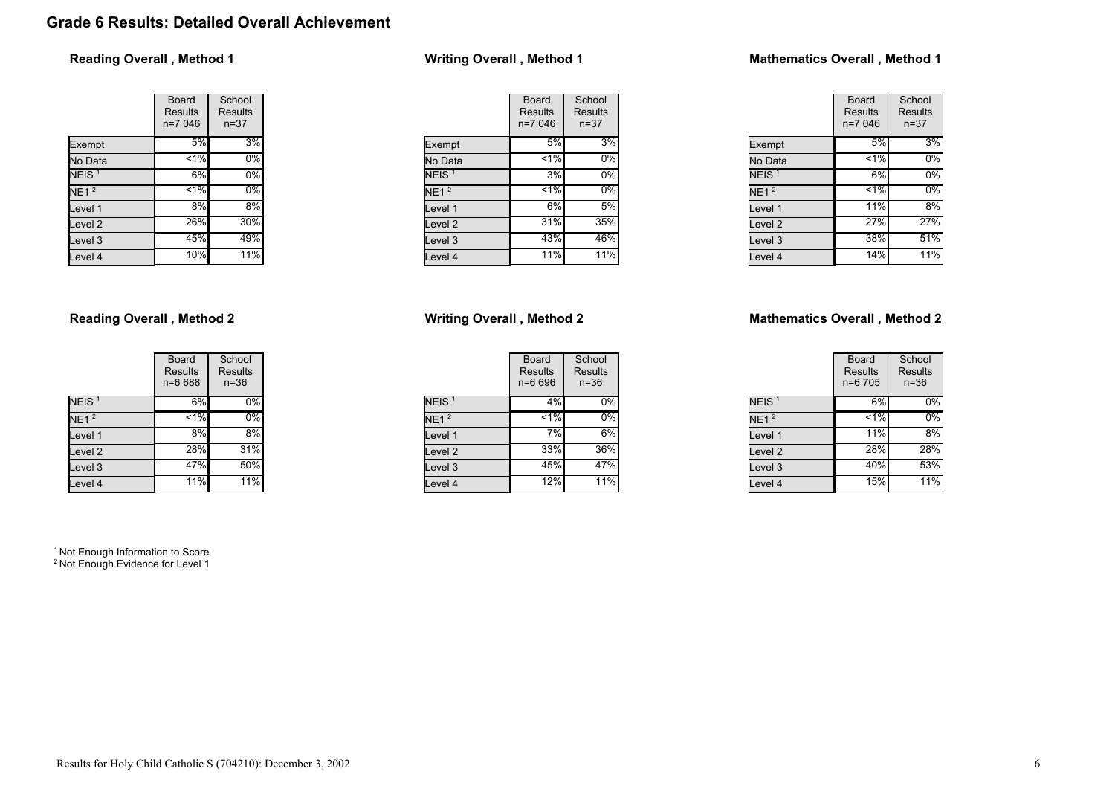# Grade 6 Results: Detailed Overall Achievement

## Reading Overall , Method 1

|                    | Board<br><b>Results</b><br>n=7 046 | School<br><b>Results</b><br>$n = 37$ |
|--------------------|------------------------------------|--------------------------------------|
| Exempt             | 5%                                 | 3%                                   |
| No Data            | 1%                                 | 0%                                   |
| NEIS <sup>1</sup>  | 6%                                 | 0%                                   |
| NE1 <sup>2</sup>   | $1\%$                              | $0\%$                                |
| Level 1            | 8%                                 | 8%                                   |
| Level <sub>2</sub> | 26%                                | 30%                                  |
| Level <sub>3</sub> | 45%                                | 49%                                  |
| Level 4            | 10%                                | $11\overline{\%}$                    |

## Reading Overall , Method 2

|                    | Board<br>Results<br>$n = 6688$ | School<br><b>Results</b><br>$n = 36$ |
|--------------------|--------------------------------|--------------------------------------|
| NEIS <sup>1</sup>  | 6%                             | 0%                                   |
| NE1 <sup>2</sup>   | $< 1\%$                        | 0%                                   |
| Level 1            | 8%                             | 8%                                   |
| Level <sub>2</sub> | 28%                            | 31%                                  |
| Level <sub>3</sub> | 47%                            | 50%                                  |
| Level 4            | 11%                            | $11\%$                               |

<sup>1</sup> Not Enough Information to Score <sup>2</sup> Not Enough Evidence for Level 1

# Writing Overall , Method 1

|                    | Board<br>Results<br>n=7 046 | School<br>Results<br>$n=37$ |
|--------------------|-----------------------------|-----------------------------|
| Exempt             | 5%                          | 3%                          |
| No Data            | $< 1\%$                     | 0%                          |
| NEIS <sup>1</sup>  | 3%                          | 0%                          |
| NE1 <sup>2</sup>   | $1\%$                       | 0%                          |
| Level 1            | 6%                          | 5%                          |
| Level <sub>2</sub> | 31%                         | 35%                         |
| Level 3            | 43%                         | 46%                         |
| Level 4            | 11%                         | 11%                         |

## Writing Overall , Method 2

|                   | Board<br><b>Results</b><br>n=6 696 | School<br><b>Results</b><br>$n = 36$ |
|-------------------|------------------------------------|--------------------------------------|
| NEIS <sup>1</sup> | 4%                                 | 0%                                   |
| NE1 <sup>2</sup>  | $1\%$                              | $0\%$                                |
| Level 1           | 7%                                 | 6%                                   |
| Level 2           | 33%                                | 36%                                  |
| Level 3           | 45%                                | 47%                                  |
| Level 4           | 12%                                | 11%                                  |

## Mathematics Overall , Method 1

|                   | Board<br>Results<br>$n=7046$ | School<br>Results<br>$n = 37$ |
|-------------------|------------------------------|-------------------------------|
| Exempt            | 5%                           | 3%                            |
| No Data           | 1%                           | 0%                            |
| NEIS <sup>1</sup> | 6%                           | 0%                            |
| NE1 <sup>2</sup>  | $1\%$                        | 0%                            |
| Level 1           | 11%                          | 8%                            |
| Level 2           | 27%                          | 27%                           |
| Level 3           | 38%                          | 51%                           |
| Level 4           | 14%                          | 11%                           |

## Mathematics Overall , Method 2

|                   | Board<br><b>Results</b><br>n=6 705 | School<br><b>Results</b><br>$n = 36$ |
|-------------------|------------------------------------|--------------------------------------|
| NEIS <sup>1</sup> | 6%                                 | 0%                                   |
| NE1 <sup>2</sup>  | $1\%$                              | 0%                                   |
| Level 1           | 11%                                | 8%                                   |
| Level 2           | 28%                                | 28%                                  |
| Level 3           | 40%                                | 53%                                  |
| Level 4           | 15%                                | $11\overline{\%}$                    |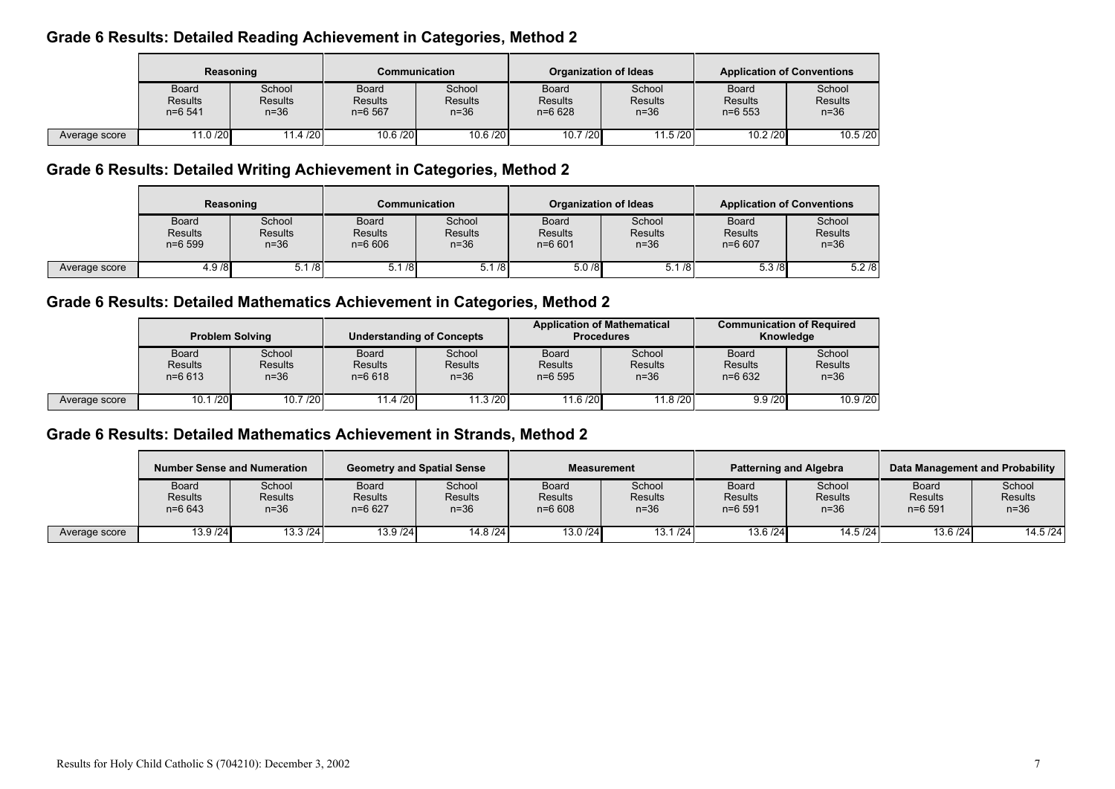# Grade 6 Results: Detailed Reading Achievement in Categories, Method 2

|               | Reasoning                                   |                                    | Communication                               |                                    | <b>Organization of Ideas</b>                 |                                  | <b>Application of Conventions</b>            |                                    |
|---------------|---------------------------------------------|------------------------------------|---------------------------------------------|------------------------------------|----------------------------------------------|----------------------------------|----------------------------------------------|------------------------------------|
|               | <b>Board</b><br><b>Results</b><br>$n=6$ 541 | School<br><b>Results</b><br>$n=36$ | <b>Board</b><br><b>Results</b><br>$n=6$ 567 | School<br><b>Results</b><br>$n=36$ | <b>Board</b><br><b>Results</b><br>$n = 6628$ | School<br><b>Results</b><br>n=36 | <b>Board</b><br><b>Results</b><br>$n = 6553$ | School<br><b>Results</b><br>$n=36$ |
| Average score | 11.0 /20                                    | 11.4 / 20                          | 10.6 / 20                                   | 10.6 / 20                          | 10.7/20                                      | 11.5/20                          | 10.2 / 20                                    | 10.5 / 20                          |

# Grade 6 Results: Detailed Writing Achievement in Categories, Method 2

|               | Reasoning                                    |                                      | Communication                         |                                      | Organization of Ideas                        |                                    | <b>Application of Conventions</b>   |                                    |
|---------------|----------------------------------------------|--------------------------------------|---------------------------------------|--------------------------------------|----------------------------------------------|------------------------------------|-------------------------------------|------------------------------------|
|               | <b>Board</b><br><b>Results</b><br>$n = 6599$ | School<br><b>Results</b><br>$n = 36$ | <b>Board</b><br>Results<br>$n = 6606$ | School<br><b>Results</b><br>$n = 36$ | <b>Board</b><br><b>Results</b><br>$n = 6601$ | School<br><b>Results</b><br>$n=36$ | <b>Board</b><br>Results<br>$n=6607$ | School<br><b>Results</b><br>$n=36$ |
| Average score | 4.9/8                                        | 5.1/8                                | 5.1/8                                 | 5.1/8                                | 5.0/8                                        | $\sqrt{5.1/8}$                     | 5.3/8                               | 5.2/8                              |

# Grade 6 Results: Detailed Mathematics Achievement in Categories, Method 2

|               | <b>Problem Solving</b>                       |                                    | <b>Understanding of Concepts</b>             |                                      | <b>Application of Mathematical</b><br><b>Procedures</b> |                                    | <b>Communication of Required</b><br>Knowledge |                                    |
|---------------|----------------------------------------------|------------------------------------|----------------------------------------------|--------------------------------------|---------------------------------------------------------|------------------------------------|-----------------------------------------------|------------------------------------|
|               | <b>Board</b><br><b>Results</b><br>$n = 6613$ | School<br><b>Results</b><br>$n=36$ | <b>Board</b><br><b>Results</b><br>$n = 6618$ | School<br><b>Results</b><br>$n = 36$ | Board<br><b>Results</b><br>$n = 6595$                   | School<br><b>Results</b><br>$n=36$ | <b>Board</b><br><b>Results</b><br>$n=6632$    | School<br><b>Results</b><br>$n=36$ |
| Average score | 10.1 / 20                                    | 10.7 / 20                          | 11.4 /20                                     | 11.3 / 20                            | 11.6 / 20                                               | 11.8 /20                           | 9.9 / 20                                      | 10.9 / 20                          |

# Grade 6 Results: Detailed Mathematics Achievement in Strands, Method 2

|               | <b>Number Sense and Numeration</b>           |                             | <b>Geometry and Spatial Sense</b> |                             | <b>Measurement</b>                    |                             |                                              | <b>Patterning and Algebra</b>      |                                             | Data Management and Probability    |
|---------------|----------------------------------------------|-----------------------------|-----------------------------------|-----------------------------|---------------------------------------|-----------------------------|----------------------------------------------|------------------------------------|---------------------------------------------|------------------------------------|
|               | <b>Board</b><br><b>Results</b><br>$n = 6643$ | School<br>Results<br>$n=36$ | Board<br>Results<br>$n=6627$      | School<br>Results<br>$n=36$ | Board<br><b>Results</b><br>$n = 6608$ | School<br>Results<br>$n=36$ | <b>Board</b><br><b>Results</b><br>$n = 6591$ | School<br><b>Results</b><br>$n=36$ | <b>Board</b><br><b>Results</b><br>$n=6$ 591 | School<br><b>Results</b><br>$n=36$ |
| Average score | 13.9 / 24                                    | 13.3 / 24                   | 13.9 / 24                         | 14.8/24                     | 13.0 / 24                             | 13.1 / 24                   | 13.6 / 24                                    | 14.5/24                            | 13.6 / 24                                   | 14.5/24                            |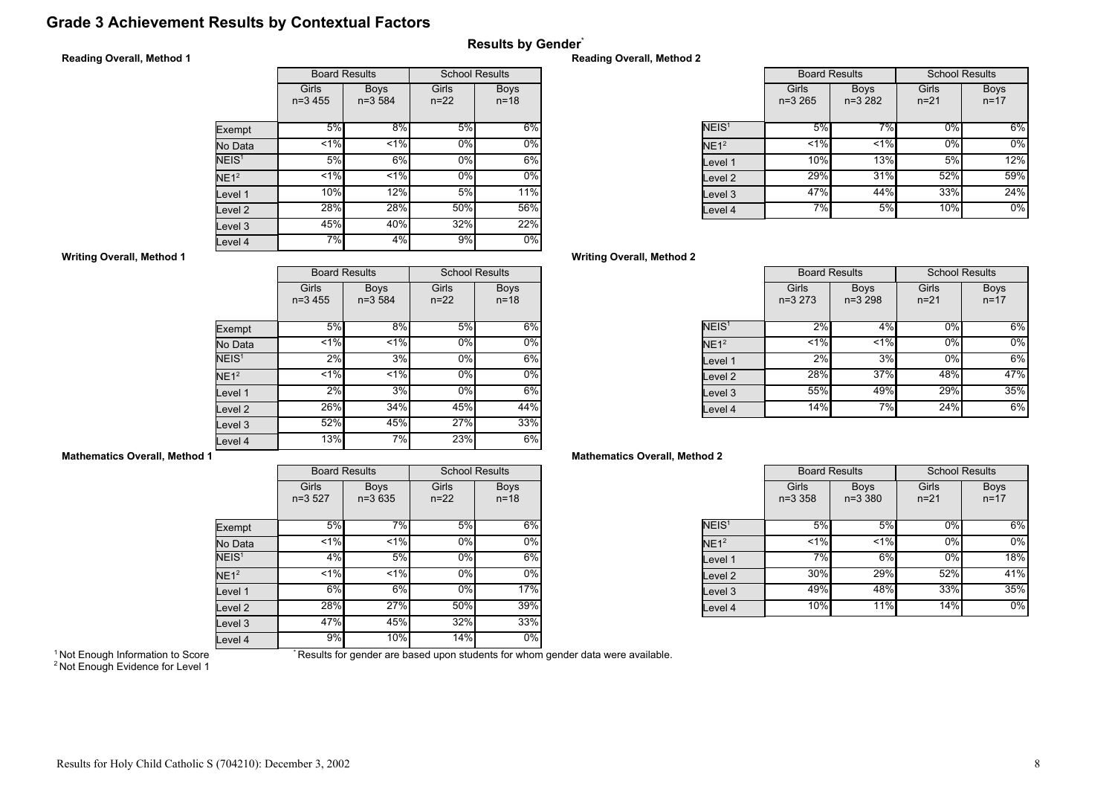# Grade 3 Achievement Results by Contextual Factors

## Results by Gender\*

## Reading Overall, Method 1

|                   |                                                  | <b>Board Results</b> |                   | <b>School Results</b>   |
|-------------------|--------------------------------------------------|----------------------|-------------------|-------------------------|
|                   | Girls<br><b>Boys</b><br>$n = 3,584$<br>$n=3,455$ |                      | Girls<br>$n = 22$ | <b>Boys</b><br>$n = 18$ |
| Exempt            | 5%                                               | $8\%$                | 5%                | 6%                      |
| No Data           | 1%                                               | $< 1\%$              | 0%                | 0%                      |
| NEIS <sup>1</sup> | 5%                                               | 6%                   | $0\%$             | 6%                      |
| NE1 <sup>2</sup>  | 1%                                               | $1\%$                | 0%                | 0%                      |
| Level 1           | 10%                                              | 12%                  | 5%                | 11%                     |
| Level 2           | 28%                                              | 28%                  | 50%               | 56%                     |
| Level 3           | 45%                                              | 40%                  | 32%               | 22%                     |
| Level 4           | 7%                                               | 4%                   | 9%                | $0\%$                   |

#### Reading Overall, Method 2

|                   |                    | <b>Board Results</b>    |                   | <b>School Results</b>   |
|-------------------|--------------------|-------------------------|-------------------|-------------------------|
|                   | Girls<br>$n=3,265$ | <b>Boys</b><br>$n=3282$ | Girls<br>$n = 21$ | <b>Boys</b><br>$n = 17$ |
| NEIS <sup>1</sup> | 5%                 | 7%                      | $0\%$             | 6%                      |
| NE1 <sup>2</sup>  | 1%                 | 1%                      | 0%                | $0\%$                   |
| Level 1           | 10%                | 13%                     | 5%                | 12%                     |
| Level 2           | 29%                | 31%                     | 52%               | 59%                     |
| Level 3           | 47%                | 44%                     | 33%               | 24%                     |
| Level 4           | 7%                 | 5%                      | 10%               | $0\%$                   |

## Writing Overall, Method 2

|                   | <b>Board Results</b> |                           | <b>School Results</b> |                         |
|-------------------|----------------------|---------------------------|-----------------------|-------------------------|
|                   | Girls<br>$n=3273$    | <b>Boys</b><br>$n = 3298$ | Girls<br>$n = 21$     | <b>Boys</b><br>$n = 17$ |
| NEIS <sup>1</sup> | 2%                   | 4%                        | 0%                    | 6%                      |
| $NE1^2$           | 1%                   | 1%                        | 0%                    | $0\%$                   |
| Level 1           | 2%                   | 3%                        | 0%                    | 6%                      |
| Level 2           | 28%                  | 37%                       | 48%                   | 47%                     |
| Level 3           | 55%                  | 49%                       | 29%                   | 35%                     |
| Level 4           | 14%                  | 7%                        | 24%                   | 6%                      |

## Mathematics Overall, Method 2

|                   | <b>Board Results</b> |                            | <b>School Results</b> |                         |
|-------------------|----------------------|----------------------------|-----------------------|-------------------------|
|                   | Girls<br>$n = 3,358$ | <b>Boys</b><br>$n = 3,380$ | Girls<br>$n = 21$     | <b>Boys</b><br>$n = 17$ |
| NEIS <sup>1</sup> | 5%                   | 5%                         | 0%                    | 6%                      |
| NE1 <sup>2</sup>  | $< 1\%$              | $< 1\%$                    | 0%                    | 0%                      |
| Level 1           | 7%                   | 6%                         | 0%                    | 18%                     |
| Level 2           | 30%                  | 29%                        | 52%                   | 41%                     |
| Level 3           | 49%                  | 48%                        | 33%l                  | 35%                     |
| Level 4           | 10%                  | 11%                        | 14%                   | $0\%$                   |

## Writing Overall, Method 1

|                    | <b>Board Results</b> |                           | <b>School Results</b> |                         |
|--------------------|----------------------|---------------------------|-----------------------|-------------------------|
|                    | Girls<br>$n=3,455$   | <b>Boys</b><br>$n = 3584$ | Girls<br>$n = 22$     | <b>Boys</b><br>$n = 18$ |
| Exempt             | 5%                   | 8%                        | 5%                    | 6%                      |
| No Data            | 1%                   | $< 1\%$                   | 0%                    | $0\%$                   |
| NEIS <sup>1</sup>  | 2%                   | 3%                        | 0%                    | 6%                      |
| NE1 <sup>2</sup>   | 1%                   | $1\%$                     | 0%                    | 0%                      |
| Level 1            | 2%                   | 3%                        | $0\%$                 | 6%                      |
| Level <sub>2</sub> | 26%                  | 34%                       | 45%                   | 44%                     |
| Level <sub>3</sub> | 52%                  | 45%                       | 27%                   | 33%                     |
| Level 4            | 13%                  | 7%                        | 23%                   | 6%                      |

## Mathematics Overall, Method 1

|                    |                   | <b>Board Results</b>    | <b>School Results</b> |                         |
|--------------------|-------------------|-------------------------|-----------------------|-------------------------|
|                    | Girls<br>$n=3527$ | <b>Boys</b><br>$n=3635$ | Girls<br>$n = 22$     | <b>Boys</b><br>$n = 18$ |
| Exempt             | 5%                | 7%                      | 5%                    | 6%                      |
| No Data            | $< 1\%$           | < 1%                    | 0%                    | 0%                      |
| NEIS <sup>1</sup>  | 4%                | 5%                      | $0\%$                 | 6%                      |
| NE1 <sup>2</sup>   | 1%                | $< 1\%$                 | 0%                    | $0\%$                   |
| Level 1            | $6\%$             | $6\%$                   | $0\%$                 | 17%                     |
| Level <sub>2</sub> | 28%               | 27%                     | 50%                   | 39%                     |
| Level <sub>3</sub> | 47%               | 45%                     | 32%                   | 33%                     |
| Level 4            | 9%                | 10%                     | 14%                   | $0\%$                   |

<sup>1</sup> Not Enough Information to Score

\* Results for gender are based upon students for whom gender data were available.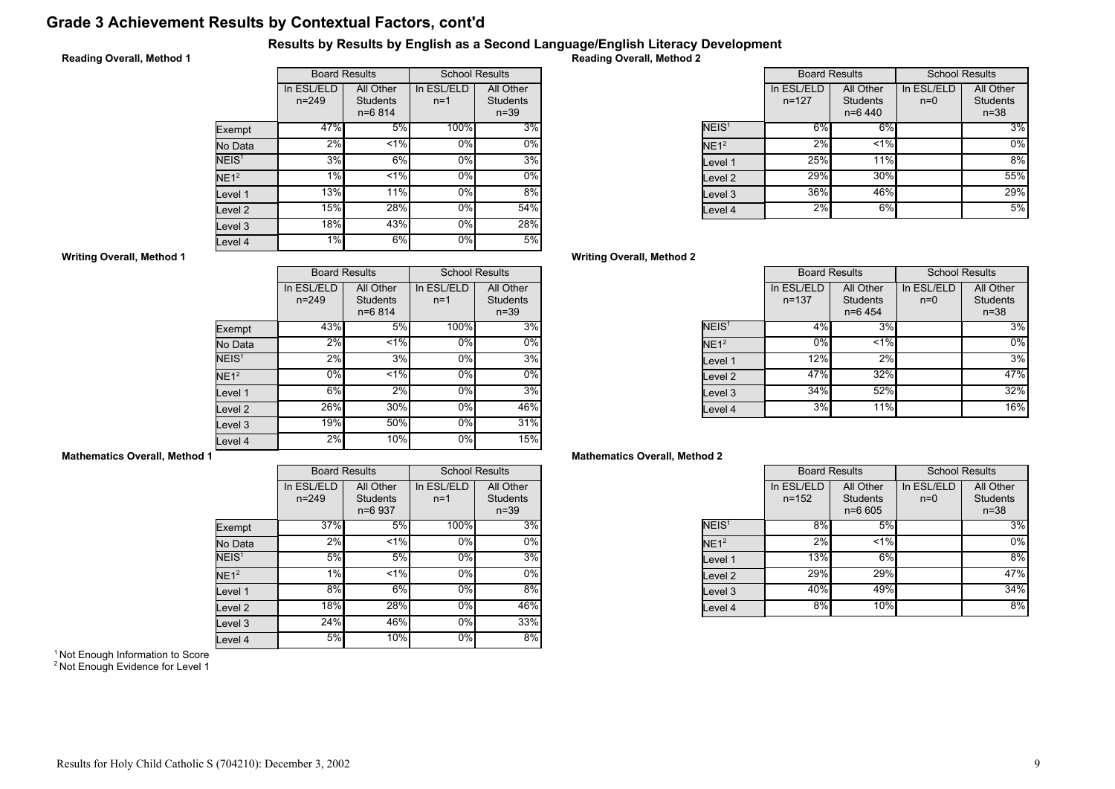# Grade 3 Achievement Results by Contextual Factors, cont'd

## Results by Results by English as a Second Language/English Literacy Development

## Reading Overall, Method 1

|                   | <b>Board Results</b>    |                                            | <b>School Results</b> |                                          |
|-------------------|-------------------------|--------------------------------------------|-----------------------|------------------------------------------|
|                   | In ESL/ELD<br>$n = 249$ | All Other<br><b>Students</b><br>$n = 6814$ | In ESL/ELD<br>$n=1$   | All Other<br><b>Students</b><br>$n = 39$ |
| Exempt            | 47%                     | 5%                                         | 100%                  | 3%                                       |
| No Data           | 2%                      | $1\%$                                      | 0%                    | 0%                                       |
| NEIS <sup>1</sup> | 3%                      | 6%                                         | 0%                    | 3%                                       |
| NE1 <sup>2</sup>  | 1%                      | 1.96                                       | 0%                    | $0\%$                                    |
| Level 1           | 13%                     | 11%                                        | 0%                    | 8%                                       |
| evel 2            | 15%                     | 28%                                        | 0%                    | 54%                                      |
| Level 3           | 18%                     | 43%                                        | 0%                    | 28%                                      |
| Level 4           | 1%                      | 6%                                         | 0%                    | 5%                                       |

Reading Overall, Method 2

|                   | <b>Board Results</b>    |                                           |                     | <b>School Results</b>                    |
|-------------------|-------------------------|-------------------------------------------|---------------------|------------------------------------------|
|                   | In ESL/ELD<br>$n = 127$ | All Other<br><b>Students</b><br>$n=6$ 440 | In ESL/ELD<br>$n=0$ | All Other<br><b>Students</b><br>$n = 38$ |
| NEIS <sup>1</sup> | 6%                      | 6%                                        |                     | 3%                                       |
| NE1 <sup>2</sup>  | 2%                      | $< 1\%$                                   |                     | 0%                                       |
| Level 1           | 25%                     | 11%                                       |                     | 8%                                       |
| evel 2.           | 29%                     | 30%                                       |                     | 55%                                      |
| evel 3            | 36%                     | 46%                                       |                     | 29%                                      |
| Level 4           | 2%                      | 6%                                        |                     | 5%                                       |

## Writing Overall, Method 2

|                    | <b>Board Results</b>    |                                           | <b>School Results</b> |                                          |
|--------------------|-------------------------|-------------------------------------------|-----------------------|------------------------------------------|
|                    | In ESL/ELD<br>$n = 137$ | All Other<br><b>Students</b><br>$n=6$ 454 | In ESL/ELD<br>$n=0$   | All Other<br><b>Students</b><br>$n = 38$ |
| NEIS <sup>1</sup>  | 4%                      | 3%                                        |                       | 3%                                       |
| NE1 <sup>2</sup>   | $0\%$                   | $< 1\%$                                   |                       | $0\%$                                    |
| Level 1            | 12%                     | 2%                                        |                       | 3%                                       |
| Level <sub>2</sub> | 47%                     | 32%                                       |                       | 47%                                      |
| Level 3            | 34%                     | 52%                                       |                       | 32%                                      |
| Level 4            | 3%                      | 11%                                       |                       | 16%                                      |

## Mathematics Overall, Method 2

|                   | <b>Board Results</b>    |                                            | <b>School Results</b> |                                          |
|-------------------|-------------------------|--------------------------------------------|-----------------------|------------------------------------------|
|                   | In ESL/ELD<br>$n = 152$ | All Other<br><b>Students</b><br>$n = 6605$ | In ESL/ELD<br>$n=0$   | All Other<br><b>Students</b><br>$n = 38$ |
| NEIS <sup>1</sup> | 8%                      | 5%                                         |                       | 3%                                       |
| NE1 <sup>2</sup>  | 2%                      | < 1%                                       |                       | 0%                                       |
| Level 1           | <b>13%</b>              | 6%                                         |                       | 8%                                       |
| Level 2           | 29%                     | 29%                                        |                       | 47%                                      |
| Level 3           | 40%                     | 49%                                        |                       | 34%                                      |
| Level 4           | 8%                      | 10%                                        |                       | 8%                                       |

#### Writing Overall, Method 1

|                   | <b>Board Results</b>    |                                          | <b>School Results</b> |                                          |
|-------------------|-------------------------|------------------------------------------|-----------------------|------------------------------------------|
|                   | In ESL/ELD<br>$n = 249$ | All Other<br><b>Students</b><br>$n=6814$ | In ESL/ELD<br>$n=1$   | All Other<br><b>Students</b><br>$n = 39$ |
| Exempt            | 43%                     | 5%                                       | 100%                  | 3%                                       |
| No Data           | 2%                      | < 1%                                     | 0%                    | $0\%$                                    |
| NEIS <sup>1</sup> | 2%                      | 3%                                       | 0%                    | 3%                                       |
| NE1 <sup>2</sup>  | 0%                      | $< 1\%$                                  | 0%                    | $0\%$                                    |
| Level 1           | 6%                      | 2%                                       | 0%                    | 3%                                       |
| Level 2           | 26%                     | 30%                                      | 0%                    | 46%                                      |
| Level 3           | 19%                     | 50%                                      | 0%                    | 31%                                      |
| Level 4           | $2\%$                   | 10%                                      | 0%                    | 15%                                      |

## Mathematics Overall, Method 1

|                    |                         | <b>Board Results</b>                    |                     | <b>School Results</b>                    |
|--------------------|-------------------------|-----------------------------------------|---------------------|------------------------------------------|
|                    | In ESL/ELD<br>$n = 249$ | All Other<br><b>Students</b><br>n=6 937 | In ESL/ELD<br>$n=1$ | All Other<br><b>Students</b><br>$n = 39$ |
| Exempt             | 37%                     | 5%                                      | 100%                | 3%                                       |
| No Data            | 2%                      | 1%                                      | 0%                  | 0%                                       |
| NEIS <sup>1</sup>  | 5%                      | 5%                                      | $0\%$               | 3%                                       |
| NE1 <sup>2</sup>   | 1%                      | $< 1\%$                                 | 0%                  | $0\%$                                    |
| Level 1            | 8%                      | 6%                                      | 0%                  | 8%                                       |
| Level <sub>2</sub> | 18%                     | 28%                                     | 0%                  | 46%                                      |
| Level 3            | 24%                     | 46%                                     | 0%                  | 33%                                      |
| Level 4            | 5%                      | 10%                                     | 0%                  | 8%                                       |

<sup>1</sup> Not Enough Information to Score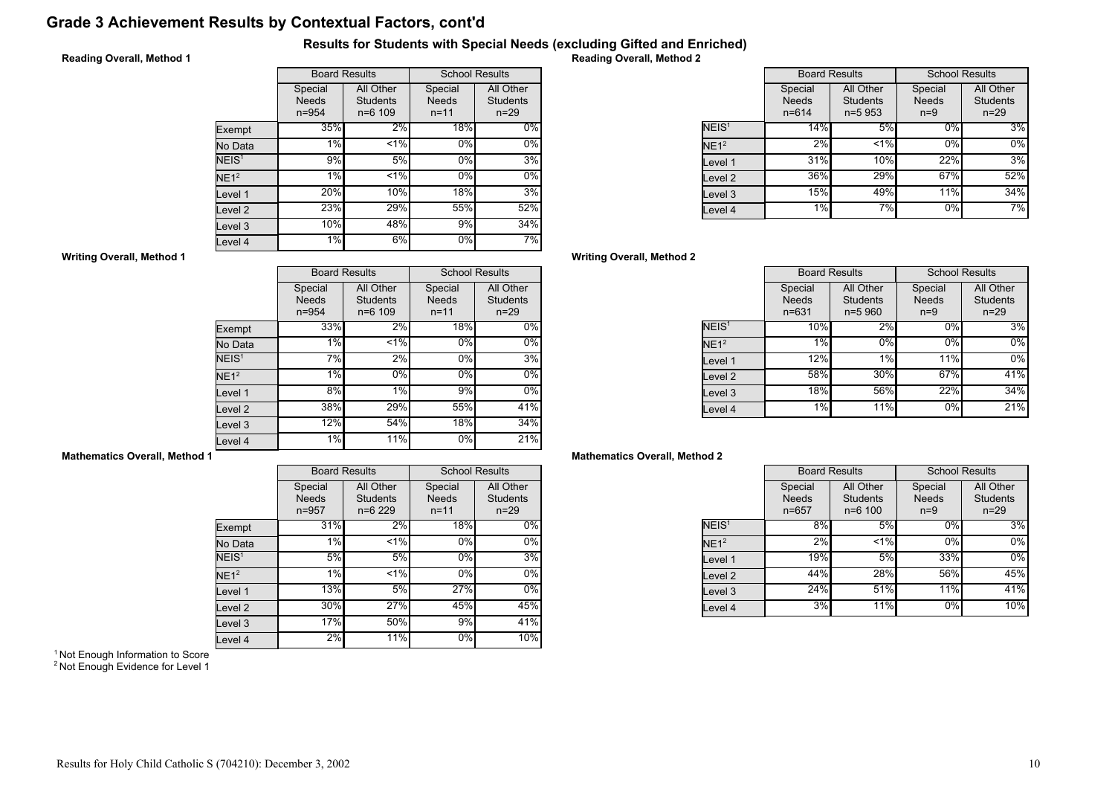# Grade 3 Achievement Results by Contextual Factors, cont'd

## Results for Students with Special Needs (excluding Gifted and Enriched)

## Reading Overall, Method 1

|                   | <b>Board Results</b>                 |                                             | <b>School Results</b>               |                                          |
|-------------------|--------------------------------------|---------------------------------------------|-------------------------------------|------------------------------------------|
|                   | Special<br><b>Needs</b><br>$n = 954$ | All Other<br><b>Students</b><br>$n = 6$ 109 | Special<br><b>Needs</b><br>$n = 11$ | All Other<br><b>Students</b><br>$n = 29$ |
| Exempt            | 35%                                  | 2%                                          | 18%                                 | $0\%$                                    |
| No Data           | 1%                                   | $< 1\%$                                     | 0%                                  | $0\%$                                    |
| NEIS <sup>1</sup> | 9%                                   | 5%                                          | 0%                                  | 3%                                       |
| NE1 <sup>2</sup>  | 1%                                   | $< 1\%$                                     | 0%                                  | $0\%$                                    |
| Level 1           | 20%                                  | 10%                                         | 18%                                 | 3%                                       |
| Level 2           | 23%                                  | 29%                                         | 55%                                 | 52%                                      |
| Level 3           | 10%                                  | 48%                                         | 9%                                  | 34%                                      |
| evel 4            | 1%                                   | 6%                                          | 0%                                  | 7%                                       |

Reading Overall, Method 2

|                   | <b>Board Results</b>                 |                                            | <b>School Results</b>            |                                          |
|-------------------|--------------------------------------|--------------------------------------------|----------------------------------|------------------------------------------|
|                   | Special<br><b>Needs</b><br>$n = 614$ | All Other<br><b>Students</b><br>$n = 5953$ | Special<br><b>Needs</b><br>$n=9$ | All Other<br><b>Students</b><br>$n = 29$ |
| NEIS <sup>1</sup> | 14%                                  | 5%                                         | $0\%$                            | 3%                                       |
| NE1 <sup>2</sup>  | 2%                                   | $< 1\%$                                    | 0%                               | $0\%$                                    |
| Level 1           | 31%                                  | 10%                                        | 22%                              | 3%                                       |
| evel 2.           | 36%                                  | 29%                                        | 67%                              | 52%                                      |
| evel 3.           | 15%                                  | 49%                                        | 11%                              | 34%                                      |
| evel 4            | 1%                                   | 7%                                         | 0%                               | 7%                                       |

## Writing Overall, Method 2

|                   | <b>Board Results</b>                 |                                            | <b>School Results</b>            |                                        |
|-------------------|--------------------------------------|--------------------------------------------|----------------------------------|----------------------------------------|
|                   | Special<br><b>Needs</b><br>$n = 631$ | All Other<br><b>Students</b><br>$n = 5960$ | Special<br><b>Needs</b><br>$n=9$ | All Other<br><b>Students</b><br>$n=29$ |
| NEIS <sup>1</sup> | 10%                                  | 2%                                         | $0\%$                            | 3%                                     |
| NE1 <sup>2</sup>  | 1%                                   | 0%                                         | 0%                               | $0\%$                                  |
| Level 1           | 12%                                  | 1%                                         | 11%                              | $0\%$                                  |
| Level 2           | 58%                                  | 30%                                        | 67%                              | 41%                                    |
| Level 3           | <b>18%</b>                           | 56%                                        | 22%                              | 34%                                    |
| Level 4           | 1%                                   | 11%                                        | 0%                               | 21%                                    |

## Mathematics Overall, Method 2

|                   | <b>Board Results</b>                 |                                             | <b>School Results</b>            |                                          |
|-------------------|--------------------------------------|---------------------------------------------|----------------------------------|------------------------------------------|
|                   | Special<br><b>Needs</b><br>$n = 657$ | All Other<br><b>Students</b><br>$n = 6 100$ | Special<br><b>Needs</b><br>$n=9$ | All Other<br><b>Students</b><br>$n = 29$ |
| NEIS <sup>1</sup> | 8%                                   | 5%                                          | 0%                               | 3%                                       |
| NE1 <sup>2</sup>  | 2%                                   | $1\%$                                       | 0%                               | 0%                                       |
| Level 1           | 19%                                  | 5%                                          | 33%                              | 0%                                       |
| Level 2           | 44%                                  | 28%                                         | 56%                              | 45%                                      |
| Level 3           | 24%                                  | 51%                                         | 11%                              | 41%                                      |
| Level 4           | 3%                                   | 11%                                         | 0%                               | 10%                                      |

#### Writing Overall, Method 1

|                   |                                      | <b>Board Results</b>                        |                                     | <b>School Results</b>                    |
|-------------------|--------------------------------------|---------------------------------------------|-------------------------------------|------------------------------------------|
|                   | Special<br><b>Needs</b><br>$n = 954$ | All Other<br><b>Students</b><br>$n = 6$ 109 | Special<br><b>Needs</b><br>$n = 11$ | All Other<br><b>Students</b><br>$n = 29$ |
| Exempt            | 33%                                  | 2%                                          | 18%                                 | 0%                                       |
| No Data           | 1%                                   | < 1%                                        | 0%                                  | $0\%$                                    |
| NEIS <sup>1</sup> | 7%                                   | $2\%$                                       | $0\%$                               | 3%                                       |
| NE1 <sup>2</sup>  | 1%                                   | 0%                                          | 0%                                  | $0\%$                                    |
| Level 1           | 8%                                   | 1%                                          | 9%                                  | $0\%$                                    |
| Level 2           | 38%                                  | 29%                                         | 55%                                 | 41%                                      |
| Level 3           | 12%                                  | 54%                                         | 18%                                 | 34%                                      |
| Level 4           | 1%                                   | 11%                                         | $0\%$                               | 21%                                      |

## Mathematics Overall, Method 1

|                   |                                      | <b>Board Results</b>                     |                                     | <b>School Results</b>                    |
|-------------------|--------------------------------------|------------------------------------------|-------------------------------------|------------------------------------------|
|                   | Special<br><b>Needs</b><br>$n = 957$ | All Other<br><b>Students</b><br>$n=6229$ | Special<br><b>Needs</b><br>$n = 11$ | All Other<br><b>Students</b><br>$n = 29$ |
| Exempt            | 31%                                  | 2%                                       | 18%                                 | $0\%$                                    |
| No Data           | $1\%$                                | < 1%                                     | $0\%$                               | 0%                                       |
| NEIS <sup>1</sup> | 5%                                   | 5%                                       | 0%                                  | 3%                                       |
| NE1 <sup>2</sup>  | 1%                                   | < 1%                                     | 0%                                  | $0\%$                                    |
| Level 1           | 13%                                  | 5%                                       | 27%                                 | 0%                                       |
| Level 2           | 30%                                  | 27%                                      | 45%                                 | 45%                                      |
| Level 3           | 17%                                  | 50%                                      | 9%                                  | 41%                                      |
| Level 4           | 2%                                   | 11%                                      | 0%                                  | 10%                                      |

<sup>1</sup> Not Enough Information to Score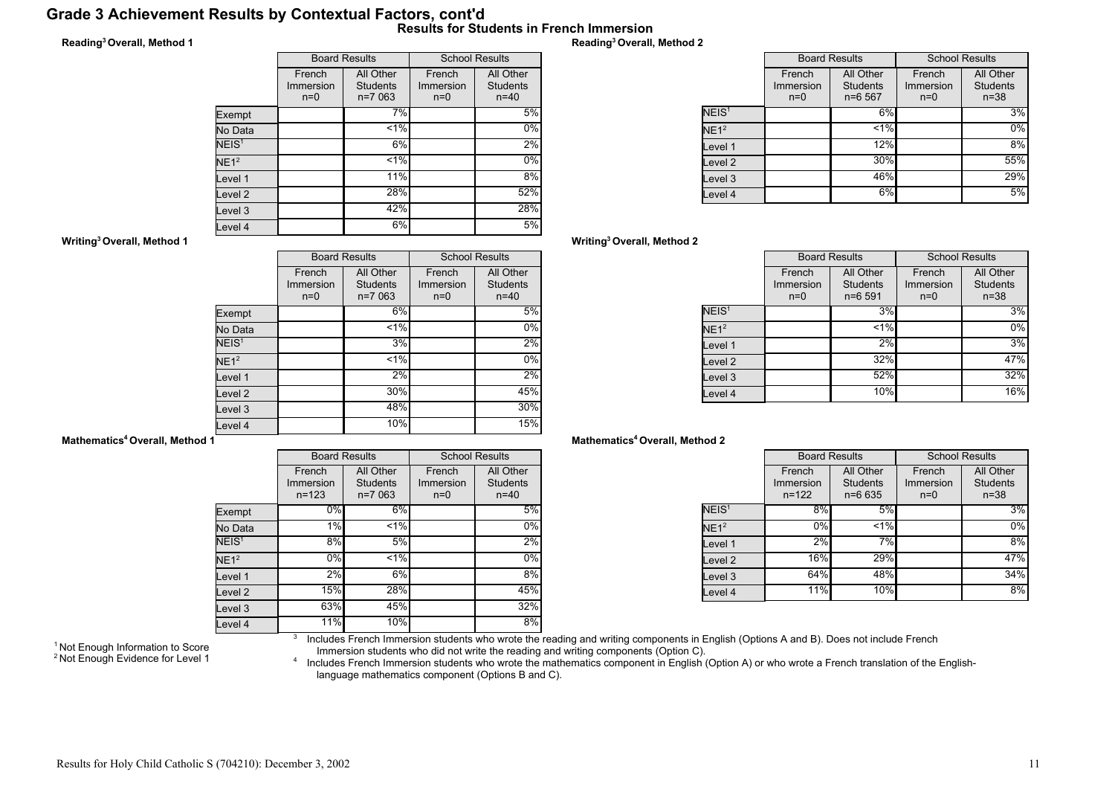## Grade 3 Achievement Results by Contextual Factors, cont'd Results for Students in French Immersion

## Reading<sup>3</sup>Overall, Method 1

|                   | <b>Board Results</b>         |                                          | <b>School Results</b>        |                                          |
|-------------------|------------------------------|------------------------------------------|------------------------------|------------------------------------------|
|                   | French<br>Immersion<br>$n=0$ | All Other<br><b>Students</b><br>$n=7063$ | French<br>Immersion<br>$n=0$ | All Other<br><b>Students</b><br>$n = 40$ |
| Exempt            |                              | 7%                                       |                              | 5%                                       |
| No Data           |                              | 1%                                       |                              | $0\%$                                    |
| NEIS <sup>1</sup> |                              | 6%                                       |                              | 2%                                       |
| NE1 <sup>2</sup>  |                              | $< 1\%$                                  |                              | $0\%$                                    |
| Level 1           |                              | 11%                                      |                              | 8%                                       |
| Level 2           |                              | 28%                                      |                              | 52%                                      |
| Level 3           |                              | 42%                                      |                              | 28%                                      |
| Level 4           |                              | 6%                                       |                              | 5%                                       |

## Reading<sup>3</sup>Overall, Method 2

|                   | <b>Board Results</b>         |                                          | <b>School Results</b>        |                                          |
|-------------------|------------------------------|------------------------------------------|------------------------------|------------------------------------------|
|                   | French<br>Immersion<br>$n=0$ | All Other<br><b>Students</b><br>$n=6567$ | French<br>Immersion<br>$n=0$ | All Other<br><b>Students</b><br>$n = 38$ |
| NEIS <sup>1</sup> |                              | 6%                                       |                              | 3%                                       |
| NE1 <sup>2</sup>  |                              | $< 1\%$                                  |                              | $0\%$                                    |
| Level 1           |                              | 12%                                      |                              | 8%                                       |
| lLevel 2          |                              | 30%                                      |                              | 55%                                      |
| lLevel 3          |                              | 46%                                      |                              | 29%                                      |
| Level 4           |                              | 6%                                       |                              | 5%                                       |

## Writing<sup>3</sup>Overall, Method 2

|                   | <b>Board Results</b>         |                                            | <b>School Results</b>        |                                        |
|-------------------|------------------------------|--------------------------------------------|------------------------------|----------------------------------------|
|                   | French<br>Immersion<br>$n=0$ | All Other<br><b>Students</b><br>$n = 6591$ | French<br>Immersion<br>$n=0$ | All Other<br><b>Students</b><br>$n=38$ |
| NEIS <sup>1</sup> |                              | 3%                                         |                              | 3%                                     |
| NE1 <sup>2</sup>  |                              | $< 1\%$                                    |                              | $0\%$                                  |
| Level 1           |                              | 2%                                         |                              | 3%                                     |
| Level 2           |                              | 32%                                        |                              | 47%                                    |
| Level 3           |                              | 52%                                        |                              | 32%                                    |
| Level 4           |                              | 10%                                        |                              | 16%                                    |

#### Mathematics<sup>4</sup> Overall, Method 2

|                   | <b>Board Results</b>             |                                            | <b>School Results</b>        |                                          |
|-------------------|----------------------------------|--------------------------------------------|------------------------------|------------------------------------------|
|                   | French<br>Immersion<br>$n = 122$ | All Other<br><b>Students</b><br>$n = 6635$ | French<br>Immersion<br>$n=0$ | All Other<br><b>Students</b><br>$n = 38$ |
| NEIS <sup>1</sup> | 8%                               | 5%                                         |                              | 3%                                       |
| NE1 <sup>2</sup>  | 0%                               | $< 1\%$                                    |                              | $0\%$                                    |
| Level 1           | 2%                               | 7%                                         |                              | 8%                                       |
| Level 2           | <b>16%</b>                       | 29%                                        |                              | 47%                                      |
| Level 3           | 64%                              | 48%                                        |                              | 34%                                      |
| Level 4           | 11%                              | 10%                                        |                              | 8%                                       |

Writing<sup>3</sup>Overall, Method 1

|                    |                              | <b>Board Results</b>                     | <b>School Results</b>        |                                          |
|--------------------|------------------------------|------------------------------------------|------------------------------|------------------------------------------|
|                    | French<br>Immersion<br>$n=0$ | All Other<br><b>Students</b><br>$n=7063$ | French<br>Immersion<br>$n=0$ | All Other<br><b>Students</b><br>$n = 40$ |
| Exempt             |                              | 6%                                       |                              | 5%                                       |
| No Data            |                              | 1%                                       |                              | $0\%$                                    |
| NEIS <sup>1</sup>  |                              | 3%                                       |                              | 2%                                       |
| NE1 <sup>2</sup>   |                              | 1%                                       |                              | $0\%$                                    |
| Level 1            |                              | 2%                                       |                              | 2%                                       |
| Level <sub>2</sub> |                              | 30%                                      |                              | 45%                                      |
| Level <sub>3</sub> |                              | 48%                                      |                              | 30%                                      |
| Level 4            |                              | 10%                                      |                              | 15%                                      |

#### Mathematics<sup>4</sup> Overall, Method 1

|                   | <b>Board Results</b>             |                                          | <b>School Results</b>        |                                          |
|-------------------|----------------------------------|------------------------------------------|------------------------------|------------------------------------------|
|                   | French<br>Immersion<br>$n = 123$ | All Other<br><b>Students</b><br>$n=7063$ | French<br>Immersion<br>$n=0$ | All Other<br><b>Students</b><br>$n = 40$ |
| Exempt            | 0%                               | 6%                                       |                              | 5%                                       |
| No Data           | 1%                               | $< 1\%$                                  |                              | 0%                                       |
| NEIS <sup>1</sup> | 8%                               | 5%                                       |                              | 2%                                       |
| NE1 <sup>2</sup>  | 0%                               | $1\%$                                    |                              | $0\%$                                    |
| Level 1           | 2%                               | 6%                                       |                              | 8%                                       |
| Level 2           | 15%                              | 28%                                      |                              | 45%                                      |
| Level 3           | 63%                              | 45%                                      |                              | 32%                                      |
| Level 4           | 11%                              | 10%                                      |                              | 8%                                       |

<sup>1</sup> Not Enough Information to Score <sup>2</sup> Not Enough Evidence for Level 1 3 Includes French Immersion students who wrote the reading and writing components in English (Options A and B). Does not include French

Immersion students who did not write the reading and writing components (Option C).<br>^ Includes French Immersion students who wrote the mathematics component in English (Option A) or who wrote a French translation of the En language mathematics component (Options B and C).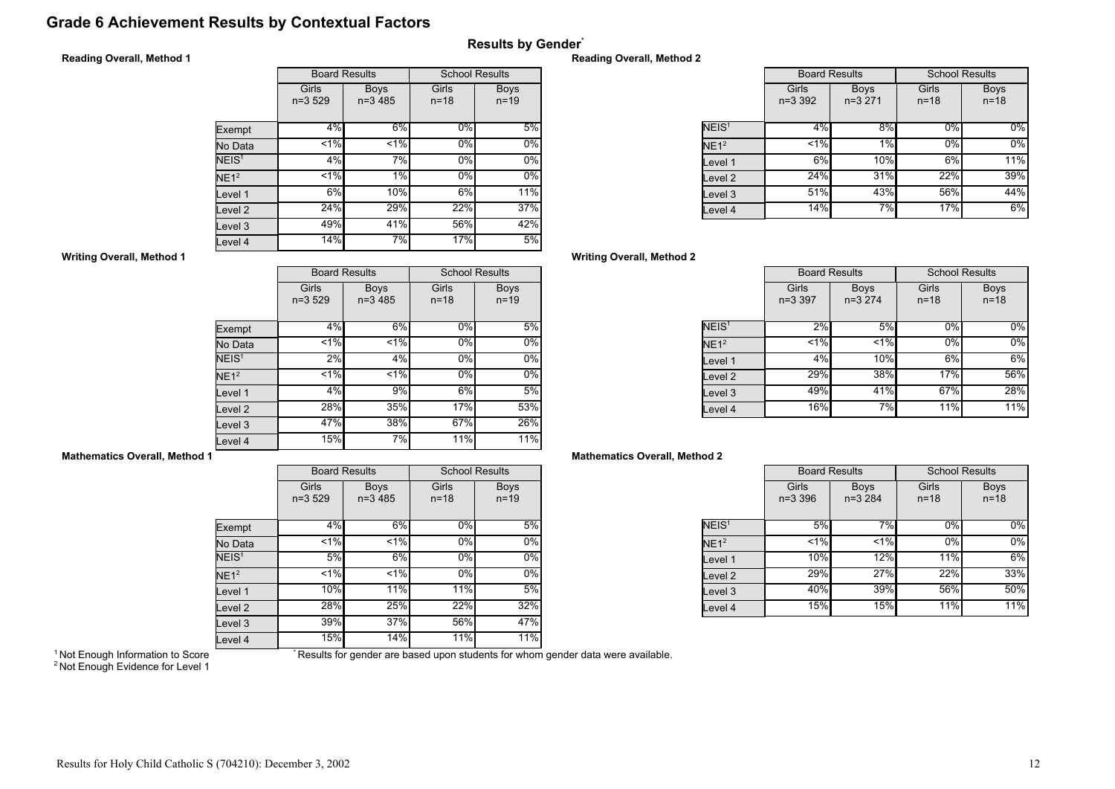# Grade 6 Achievement Results by Contextual Factors

## Reading Overall, Method 1

|                    |                     | <b>Board Results</b>     | <b>School Results</b> |                       |
|--------------------|---------------------|--------------------------|-----------------------|-----------------------|
|                    | Girls<br>$n = 3529$ | <b>Boys</b><br>$n=3,485$ | Girls<br>$n = 18$     | <b>Boys</b><br>$n=19$ |
| Exempt             | 4%                  | 6%                       | $0\%$                 | 5%                    |
| No Data            | 1%                  | $1\%$                    | 0%                    | $0\%$                 |
| NEIS <sup>1</sup>  | 4%                  | 7%                       | 0%                    | $0\%$                 |
| NE1 <sup>2</sup>   | 1%                  | 1%                       | 0%                    | $0\%$                 |
| Level 1            | 6%                  | 10%                      | 6%                    | 11%                   |
| Level <sub>2</sub> | 24%                 | 29%                      | 22%                   | 37%                   |
| Level 3            | 49%                 | 41%                      | 56%                   | 42%                   |
| Level 4            | 14%                 | 7%                       | 17%                   | 5%                    |

## Reading Overall, Method 2

Results by Gender\*

|                   | <b>Board Results</b> |                         | <b>School Results</b> |                         |
|-------------------|----------------------|-------------------------|-----------------------|-------------------------|
|                   | Girls<br>$n=3,392$   | <b>Boys</b><br>$n=3271$ | Girls<br>$n = 18$     | <b>Boys</b><br>$n = 18$ |
| NEIS <sup>1</sup> | 4%                   | 8%                      | $0\%$                 | $0\%$                   |
| NE1 <sup>2</sup>  | 1%                   | 1%                      | 0%                    | $0\%$                   |
| Level 1           | 6%                   | 10%                     | 6%                    | 11%                     |
| Level 2           | 24%                  | 31%                     | 22%                   | 39%                     |
| Level 3           | 51%                  | 43%                     | 56%                   | 44%                     |
| Level 4           | 14%                  | 7%                      | 17%                   | $6\%$                   |

## Writing Overall, Method 2

|                   | <b>Board Results</b> |                         | <b>School Results</b> |                         |
|-------------------|----------------------|-------------------------|-----------------------|-------------------------|
|                   | Girls<br>$n=3.397$   | <b>Boys</b><br>$n=3274$ | Girls<br>$n = 18$     | <b>Boys</b><br>$n = 18$ |
| NEIS <sup>1</sup> | 2%                   | 5%                      | 0%                    | $0\%$                   |
| NE1 <sup>2</sup>  | 1%                   | 1%                      | 0%                    | $0\%$                   |
| Level 1           | 4%                   | 10%                     | 6%                    | 6%                      |
| Level 2           | 29%                  | 38%                     | 17%                   | 56%                     |
| Level 3           | 49%                  | 41%                     | 67%                   | 28%                     |
| Level 4           | 16%                  | 7%                      | 11%                   | 11%                     |

## Mathematics Overall, Method 2

|                   | <b>Board Results</b> |                         | <b>School Results</b> |                         |
|-------------------|----------------------|-------------------------|-----------------------|-------------------------|
|                   | Girls<br>$n = 3,396$ | <b>Boys</b><br>$n=3284$ | Girls<br>$n = 18$     | <b>Boys</b><br>$n = 18$ |
| NEIS <sup>1</sup> | 5%                   | 7%                      | 0%                    | 0%                      |
| NE1 <sup>2</sup>  | $< 1\%$              | < 1%                    | 0%                    | 0%                      |
| Level 1           | 10%                  | 12%                     | 11%                   | 6%                      |
| Level 2           | 29%l                 | 27%                     | 22%                   | 33%                     |
| Level 3           | 40%                  | 39%                     | 56%                   | 50%                     |
| Level 4           | 15%                  | 15%                     | 11%                   | 11%                     |

## Writing Overall, Method 1

|                    |                     | <b>Board Results</b>     | <b>School Results</b> |                         |
|--------------------|---------------------|--------------------------|-----------------------|-------------------------|
|                    | Girls<br>$n = 3529$ | <b>Boys</b><br>$n=3,485$ | Girls<br>$n = 18$     | <b>Boys</b><br>$n = 19$ |
| Exempt             | 4%                  | 6%                       | 0%                    | 5%                      |
| No Data            | $< 1\%$             | < 1%                     | 0%                    | 0%                      |
| NEIS <sup>1</sup>  | 2%                  | 4%                       | 0%                    | 0%                      |
| NE1 <sup>2</sup>   | 1%                  | $< 1\%$                  | 0%                    | 0%                      |
| Level 1            | 4%                  | 9%                       | 6%                    | 5%                      |
| Level <sub>2</sub> | 28%                 | 35%                      | 17%                   | 53%                     |
| Level 3            | 47%                 | 38%                      | 67%                   | 26%                     |
| Level 4            | 15%                 | 7%                       | 11%                   | 11%                     |

#### Mathematics Overall, Method 1

|                    | <b>Board Results</b> |                          | <b>School Results</b> |                         |  |
|--------------------|----------------------|--------------------------|-----------------------|-------------------------|--|
|                    | Girls<br>$n=3529$    | <b>Boys</b><br>$n=3,485$ | Girls<br>$n = 18$     | <b>Boys</b><br>$n = 19$ |  |
| Exempt             | 4%                   | 6%                       | 0%                    | 5%                      |  |
| No Data            | $\overline{51\%}$    | < 1%                     | 0%                    | 0%                      |  |
| NEIS <sup>1</sup>  | 5%                   | 6%                       | $0\%$                 | 0%                      |  |
| NE1 <sup>2</sup>   | 1%                   | 1%                       | 0%                    | 0%                      |  |
| Level 1            | 10%                  | 11%                      | 11%                   | 5%                      |  |
| Level <sub>2</sub> | 28%                  | 25%                      | 22%                   | 32%                     |  |
| Level <sub>3</sub> | 39%                  | 37%                      | 56%                   | 47%                     |  |
| Level 4            | 15%                  | 14%                      | 11%                   | 11%                     |  |

<sup>1</sup> Not Enough Information to Score

\* Results for gender are based upon students for whom gender data were available.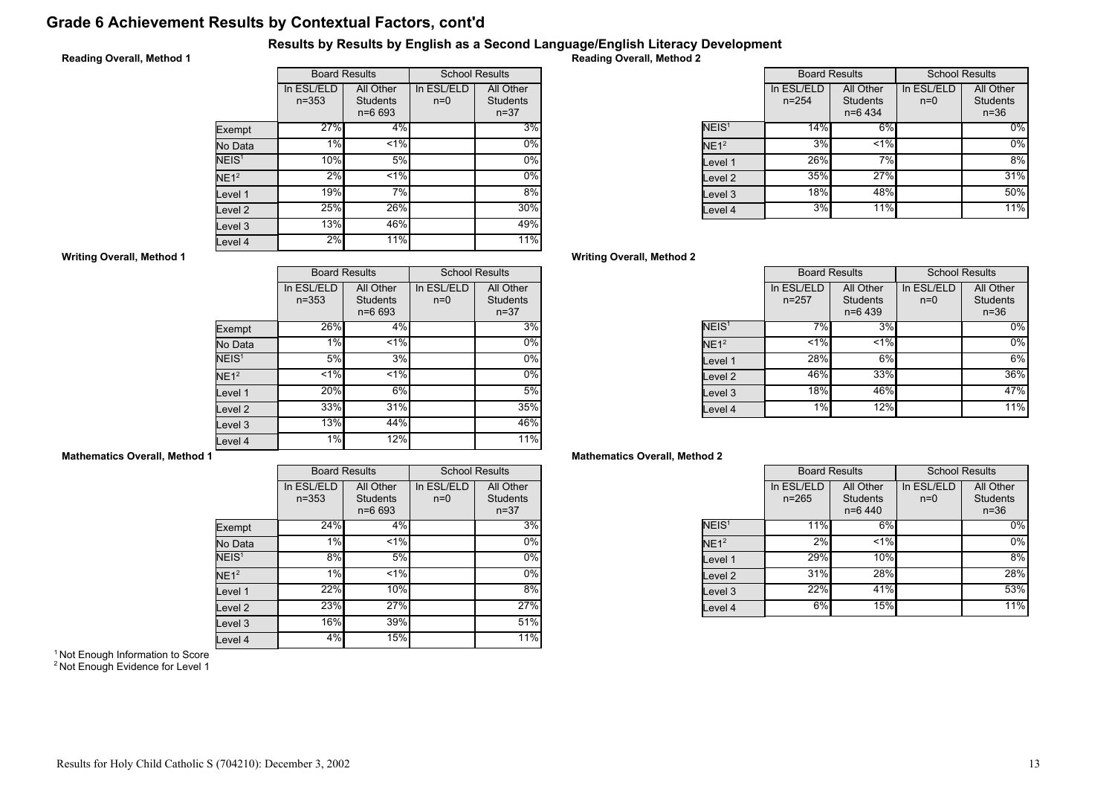# Grade 6 Achievement Results by Contextual Factors, cont'd

## Results by Results by English as a Second Language/English Literacy Development

## Reading Overall, Method 1

|                    | <b>Board Results</b>    |                                            | <b>School Results</b> |                                          |
|--------------------|-------------------------|--------------------------------------------|-----------------------|------------------------------------------|
|                    | In ESL/ELD<br>$n = 353$ | All Other<br><b>Students</b><br>$n = 6693$ | In ESL/ELD<br>$n=0$   | All Other<br><b>Students</b><br>$n = 37$ |
| Exempt             | 27%                     | 4%                                         |                       | 3%                                       |
| No Data            | 1%                      | $1\%$                                      |                       | 0%                                       |
| NEIS <sup>1</sup>  | 10%                     | 5%                                         |                       | $0\%$                                    |
| NE1 <sup>2</sup>   | 2%                      | $1\%$                                      |                       | $0\%$                                    |
| Level 1            | 19%                     | 7%                                         |                       | 8%                                       |
| Level <sub>2</sub> | 25%                     | 26%                                        |                       | 30%                                      |
| Level 3            | 13%                     | 46%                                        |                       | 49%                                      |
| Level 4            | 2%                      | 11%                                        |                       | 11%                                      |

Reading Overall, Method 2

|                   | <b>Board Results</b>    |                                           | <b>School Results</b> |                                          |
|-------------------|-------------------------|-------------------------------------------|-----------------------|------------------------------------------|
|                   | In ESL/ELD<br>$n = 254$ | All Other<br><b>Students</b><br>$n=6$ 434 | In ESL/ELD<br>$n=0$   | All Other<br><b>Students</b><br>$n = 36$ |
| NEIS <sup>1</sup> | 14%                     | 6%                                        |                       | $0\%$                                    |
| NE1 <sup>2</sup>  | 3%                      | $< 1\%$                                   |                       | $0\%$                                    |
| Level 1           | 26%                     | 7%                                        |                       | 8%                                       |
| Level 2           | 35%                     | 27%                                       |                       | 31%                                      |
| Level 3           | 18%                     | 48%                                       |                       | 50%                                      |
| Level 4           | 3%                      | 11%                                       |                       | 11%                                      |

## Writing Overall, Method 2

|                   | <b>Board Results</b>    |                                           | <b>School Results</b> |                                        |
|-------------------|-------------------------|-------------------------------------------|-----------------------|----------------------------------------|
|                   | In ESL/ELD<br>$n = 257$ | All Other<br><b>Students</b><br>$n=6$ 439 | In ESL/ELD<br>$n=0$   | All Other<br><b>Students</b><br>$n=36$ |
| NEIS <sup>1</sup> | 7%                      | 3%                                        |                       | $0\%$                                  |
| NE1 <sup>2</sup>  | $< 1\%$                 | $< 1\%$                                   |                       | $0\%$                                  |
| Level 1           | 28%                     | 6%                                        |                       | 6%                                     |
| Level 2           | 46%                     | 33%                                       |                       | 36%                                    |
| Level 3           | 18%                     | 46%                                       |                       | 47%                                    |
| Level 4           | 1%                      | 12%                                       |                       | 11%                                    |

## Mathematics Overall, Method 2

|                   | <b>Board Results</b>    |                                           | <b>School Results</b> |                                          |
|-------------------|-------------------------|-------------------------------------------|-----------------------|------------------------------------------|
|                   | In ESL/ELD<br>$n = 265$ | All Other<br><b>Students</b><br>$n=6$ 440 | In ESL/ELD<br>$n=0$   | All Other<br><b>Students</b><br>$n = 36$ |
| NEIS <sup>1</sup> | 11%                     | 6%                                        |                       | $0\%$                                    |
| NE1 <sup>2</sup>  | 2%                      | < 1%                                      |                       | 0%                                       |
| Level 1           | 29%                     | 10%                                       |                       | 8%                                       |
| Level 2           | 31%                     | 28%                                       |                       | 28%                                      |
| Level 3           | 22%                     | 41%                                       |                       | 53%                                      |
| Level 4           | 6%                      | 15%                                       |                       | 11%                                      |

#### Writing Overall, Method 1

|                   | <b>Board Results</b>    |                                            | <b>School Results</b> |                                          |
|-------------------|-------------------------|--------------------------------------------|-----------------------|------------------------------------------|
|                   | In ESL/ELD<br>$n = 353$ | All Other<br><b>Students</b><br>$n = 6693$ | In ESL/ELD<br>$n=0$   | All Other<br><b>Students</b><br>$n = 37$ |
| Exempt            | 26%                     | 4%                                         |                       | 3%                                       |
| No Data           | 1%                      | < 1%                                       |                       | $0\%$                                    |
| NEIS <sup>1</sup> | 5%                      | 3%                                         |                       | $0\%$                                    |
| NE1 <sup>2</sup>  | 1%                      | $< 1\%$                                    |                       | $0\%$                                    |
| Level 1           | 20%                     | 6%                                         |                       | 5%                                       |
| Level 2           | 33%                     | 31%                                        |                       | 35%                                      |
| Level 3           | 13%                     | 44%                                        |                       | 46%                                      |
| Level 4           | 1%                      | 12%                                        |                       | 11%                                      |

## Mathematics Overall, Method 1

|                   |                         | <b>Board Results</b>                       |                     | <b>School Results</b>                    |
|-------------------|-------------------------|--------------------------------------------|---------------------|------------------------------------------|
|                   | In ESL/ELD<br>$n = 353$ | All Other<br><b>Students</b><br>$n = 6693$ | In ESL/ELD<br>$n=0$ | All Other<br><b>Students</b><br>$n = 37$ |
| Exempt            | 24%                     | 4%                                         |                     | 3%                                       |
| No Data           | 1%                      | 1%                                         |                     | $0\%$                                    |
| NEIS <sup>1</sup> | 8%                      | 5%                                         |                     | $0\%$                                    |
| $NE1^2$           | 1%                      | $1\%$                                      |                     | $0\%$                                    |
| Level 1           | 22%                     | 10%                                        |                     | 8%                                       |
| Level 2           | 23%                     | 27%                                        |                     | 27%                                      |
| Level 3           | 16%                     | 39%                                        |                     | 51%                                      |
| Level 4           | 4%                      | 15%                                        |                     | 11%                                      |

<sup>1</sup> Not Enough Information to Score